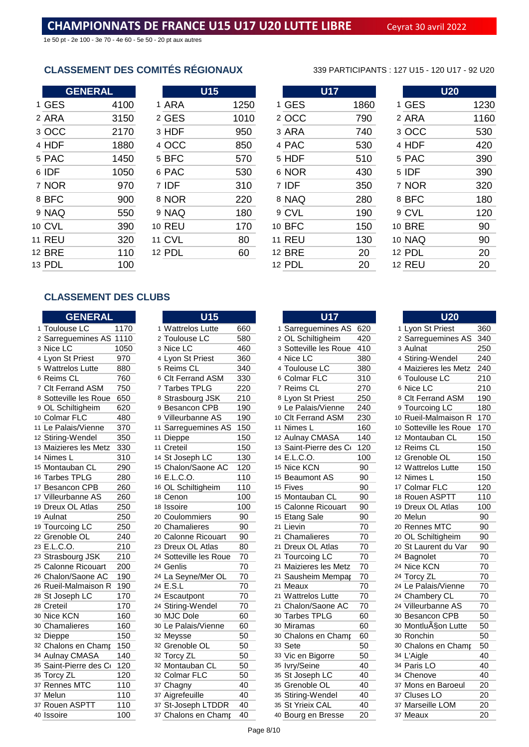1e 50 pt - 2e 100 - 3e 70 - 4e 60 - 5e 50 - 20 pt aux autres

# **CLASSEMENT DES COMITÉS RÉGIONAUX** 339 PARTICIPANTS : 127 U15 - 120 U17 - 92 U20

| <b>GENERAL</b> |      |               | <b>U15</b> |      |    |               | <b>U17</b> |      |               | U <sub>20</sub> |
|----------------|------|---------------|------------|------|----|---------------|------------|------|---------------|-----------------|
| 1 GES          | 4100 | 1 ARA         |            | 1250 |    | 1 GES         |            | 1860 | 1 GES         | 1230            |
| 2 ARA          | 3150 | 2 GES         |            | 1010 |    | 2 OCC         |            | 790  | 2 ARA         | 1160            |
| 3 OCC          | 2170 | 3 HDF         |            | 950  |    | 3 ARA         |            | 740  | 3 OCC         | 530             |
| 4 HDF          | 1880 | 4 OCC         |            | 850  |    | 4 PAC         |            | 530  | 4 HDF         | 420             |
| 5 PAC          | 1450 | 5 BFC         |            | 570  |    | 5 HDF         |            | 510  | 5 PAC         | 390             |
| 6 IDF          | 1050 | 6 PAC         |            | 530  |    | 6 NOR         |            | 430  | 5 IDF         | 390             |
| 7 NOR          | 970  | 7 IDF         |            | 310  |    | 7 IDF         |            | 350  | 7 NOR         | 320             |
| 8 BFC          | 900  | 8 NOR         |            | 220  |    | 8 NAQ         |            | 280  | 8 BFC         | 180             |
| 9 NAQ          | 550  | 9 NAQ         |            | 180  |    | 9 CVL         |            | 190  | 9 CVL         | 120             |
| 10 CVL         | 390  | <b>10 REU</b> |            | 170  |    | 10 BFC        |            | 150  | <b>10 BRE</b> | 90              |
| <b>11 REU</b>  | 320  | <b>11 CVL</b> |            | 80   | 11 | <b>REU</b>    |            | 130  | <b>10 NAQ</b> | 90              |
| 12 BRE         | 110  | 12 PDL        |            | 60   |    | <b>12 BRE</b> |            | 20   | 12 PDL        | 20              |
| 13 PDL         | 100  |               |            |      |    | 12 PDL        |            | 20   | <b>12 REU</b> | 20              |

### **CLASSEMENT DES CLUBS**

|                | <b>GENERAL</b>         |                  |
|----------------|------------------------|------------------|
| 1              | Toulouse LC            | 1170             |
| $\overline{c}$ | Sarreguemines AS       | 1110             |
| 3              | Nice LC                | 1050             |
| 4              | Lyon St Priest         | 970              |
| 5              | <b>Wattrelos Lutte</b> | 880              |
| 6              | Reims CL               | 760              |
| $\overline{7}$ | <b>Clt Ferrand ASM</b> | 750              |
| 8              | Sotteville les Roue    | 650              |
| 9              | OL Schiltigheim        | 620              |
| 10             | <b>Colmar FLC</b>      | 480              |
| 11             | Le Palais/Vienne       | 370              |
| 12             | Stiring-Wendel         | 350              |
| 13             | Maizieres les Metz     | 330              |
| 14             | Nimes L                | 310              |
| 15             | Montauban CL           | 290              |
| 16             | <b>Tarbes TPLG</b>     | 280              |
| 17             | <b>Besancon CPB</b>    | 260              |
|                | 17 Villeurbanne AS     | 260              |
| 19             | Dreux OL Atlas         | 250              |
| 19             | Aulnat                 | 250              |
| 19             | <b>Tourcoing LC</b>    | 250              |
| 22             | Grenoble OL            | 240              |
| 23             | E.L.C.O.               | 210              |
| 23             | Strasbourg JSK         | 210              |
| 25             | Calonne Ricouart       | 200              |
| 26             | Chalon/Saone AC        | 190              |
| 26             | Rueil-Malmaison R      | 190              |
| 28             | St Joseph LC           | 170              |
| 28             | Creteil                | 170              |
| 30             | Nice KCN               | 160              |
| 30             | Chamalieres            | 160              |
| 32             | Dieppe                 | 150              |
| 32             | Chalons en Champ       | 150              |
| 34             | <b>Aulnay CMASA</b>    | 140              |
| 35             | Saint-Pierre des Co    | 120              |
|                | 35 Torcy ZL            | 120              |
| 37             | Rennes MTC             | 110              |
| 37             | Melun                  | 110              |
| 37             | Rouen ASPTT            | $\overline{110}$ |
| 40             | lssnire                | 100              |

|                | $\overline{\mathsf{U}15}$ |     |
|----------------|---------------------------|-----|
| 1              | <b>Wattrelos Lutte</b>    | 660 |
| 2              | Toulouse LC               | 580 |
| 3              | Nice LC                   | 460 |
| 4              | Lyon St Priest            | 360 |
| 5              | Reims CL                  | 340 |
| ô              | <b>Clt Ferrand ASM</b>    | 330 |
| 7              | Tarbes TPLG               | 220 |
| 8              | Strasbourg JSK            | 210 |
| 9              | <b>Besancon CPB</b>       | 190 |
| 9              | Villeurbanne AS           | 190 |
| 1              | Sarreguemines AS          | 150 |
| 1              | Dieppe                    | 150 |
| 1              | Creteil                   | 150 |
| 4              | St Joseph LC              | 130 |
| 5              | Chalon/Saone AC           | 120 |
| ô              | E.L.C.O.                  | 110 |
| ô              | OL Schiltigheim           | 110 |
| 8              | Cenon                     | 100 |
| В              | Issoire                   | 100 |
| D              | Coulommiers               | 90  |
| D              | Chamalieres               | 90  |
| D              | Calonne Ricouart          | 90  |
| 3              | Dreux OL Atlas            | 80  |
| 4              | Sotteville les Roue       | 70  |
| 4              | Genlis                    | 70  |
| 4              | La Seyne/Mer OL           | 70  |
| 4              | E.S.L                     | 70  |
| 4              | Escautpont                | 70  |
| 4              | Stiring-Wendel            | 70  |
| D              | MJC Dole                  | 60  |
| $\mathfrak{0}$ | Le Palais/Vienne          | 60  |
| $\overline{c}$ | Meysse                    | 50  |
| $\overline{c}$ | Grenoble OL               | 50  |
| $\overline{c}$ | Torcy ZL                  | 50  |
| 2              | Montauban CL              | 50  |
| $\overline{c}$ | Colmar FLC                | 50  |
| 7              | Chagny                    | 40  |
| 7              | Aigrefeuille              | 40  |
| 7              | St-Joseph LTDDR           | 40  |
|                |                           |     |

| <b>CLASSEMENT DES CLUBS</b> |      |                        |     |                        |                                      |
|-----------------------------|------|------------------------|-----|------------------------|--------------------------------------|
| <b>GENERAL</b>              |      | <b>U15</b>             |     | <b>U17</b>             | U20                                  |
| 1 Toulouse LC               | 1170 | 1 Wattrelos Lutte      | 660 | 1 Sarreguemines AS     | 1 Lyon St Priest<br>620<br>360       |
| 2 Sarreguemines AS 1110     |      | 2 Toulouse LC          | 580 | 2 OL Schiltigheim      | 420<br>340<br>2 Sarreguemines AS     |
| 3 Nice LC                   | 1050 | 3 Nice LC              | 460 | 3 Sotteville les Roue  | 410<br>250<br>3 Aulnat               |
| 4 Lyon St Priest            | 970  | 4 Lyon St Priest       | 360 | 4 Nice LC              | 380<br>4 Stiring-Wendel<br>240       |
| 5 Wattrelos Lutte           | 880  | 5 Reims CL             | 340 | 4 Toulouse LC          | 380<br>240<br>4 Maizieres les Metz   |
| 6 Reims CL                  | 760  | 6 Clt Ferrand ASM      | 330 | 6 Colmar FLC           | 310<br>6 Toulouse LC<br>210          |
| 7 Clt Ferrand ASM           | 750  | 7 Tarbes TPLG          | 220 | 7 Reims CL             | 270<br>6 Nice LC<br>210              |
| 8 Sotteville les Roue       | 650  | 8 Strasbourg JSK       | 210 | 8 Lyon St Priest       | 250<br>8 Clt Ferrand ASM<br>190      |
| 9 OL Schiltigheim           | 620  | 9 Besancon CPB         | 190 | 9 Le Palais/Vienne     | 180<br>240<br>9 Tourcoing LC         |
| 10 Colmar FLC               | 480  | 9 Villeurbanne AS      | 190 | 10 Clt Ferrand ASM     | 230<br>10 Rueil-Malmaison R<br>170   |
| 11 Le Palais/Vienne         | 370  | 11 Sarreguemines AS    | 150 | 11 Nimes L             | 160<br>10 Sotteville les Roue<br>170 |
| 12 Stiring-Wendel           | 350  | 11 Dieppe              | 150 | 12 Aulnay CMASA        | 140<br>12 Montauban CL<br>150        |
| 13 Maizieres les Metz       | 330  | 11 Creteil             | 150 | 13 Saint-Pierre des Co | 120<br>12 Reims CL<br>150            |
| 14 Nimes L                  | 310  | 14 St Joseph LC        | 130 | 14 E.L.C.O.            | 150<br>100<br>12 Grenoble OL         |
| 15 Montauban CL             | 290  | 15 Chalon/Saone AC     | 120 | 15 Nice KCN            | 90<br>12 Wattrelos Lutte<br>150      |
| 16 Tarbes TPLG              | 280  | 16 E.L.C.O.            | 110 | 15 Beaumont AS         | 90<br>12 Nimes L<br>150              |
| 17 Besancon CPB             | 260  | 16 OL Schiltigheim     | 110 | 15 Fives               | 90<br>17 Colmar FLC<br>120           |
| 17 Villeurbanne AS          | 260  | 18 Cenon               | 100 | 15 Montauban CL        | 90<br>18 Rouen ASPTT<br>110          |
| 19 Dreux OL Atlas           | 250  | 18 Issoire             | 100 | 15 Calonne Ricouart    | 90<br>19 Dreux OL Atlas<br>100       |
| 19 Aulnat                   | 250  | 20 Coulommiers         | 90  | 15 Etang Sale          | 90<br>90<br>20 Melun                 |
| 19 Tourcoing LC             | 250  | 20 Chamalieres         | 90  | 21 Lievin              | 70<br>20 Rennes MTC<br>90            |
| 22 Grenoble OL              | 240  | 20 Calonne Ricouart    | 90  | 21 Chamalieres         | 70<br>90<br>20 OL Schiltigheim       |
| 23 E.L.C.O.                 | 210  | 23 Dreux OL Atlas      | 80  | 21 Dreux OL Atlas      | 90<br>70<br>20 St Laurent du Var     |
| 23 Strasbourg JSK           | 210  | 24 Sotteville les Roue | 70  | 21 Tourcoing LC        | 70<br>70<br>24 Bagnolet              |
| 25 Calonne Ricouart         | 200  | 24 Genlis              | 70  | 21 Maizieres les Metz  | 70<br>70<br>24 Nice KCN              |
| 26 Chalon/Saone AC          | 190  | 24 La Seyne/Mer OL     | 70  | 21 Sausheim Mempar     | 70<br>70<br>24 Torcy ZL              |
| 26 Rueil-Malmaison R        | 190  | 24 E.S.L               | 70  | 21 Meaux               | 70<br>24 Le Palais/Vienne<br>70      |
| 28 St Joseph LC             | 170  | 24 Escautpont          | 70  | 21 Wattrelos Lutte     | 70<br>70<br>24 Chambery CL           |
| 28 Creteil                  | 170  | 24 Stiring-Wendel      | 70  | 21 Chalon/Saone AC     | 70<br>70<br>24 Villeurbanne AS       |
| 30 Nice KCN                 | 160  | 30 MJC Dole            | 60  | 30 Tarbes TPLG         | 50<br>60<br>30 Besancon CPB          |
| 30 Chamalieres              | 160  | 30 Le Palais/Vienne    | 60  | 30 Miramas             | 50<br>60<br>30 MontluASon Lutte      |
| 32 Dieppe                   | 150  | 32 Meysse              | 50  | 30 Chalons en Champ    | 50<br>60<br>30 Ronchin               |
| 32 Chalons en Champ         | 150  | 32 Grenoble OL         | 50  | 33 Sete                | 50<br>50<br>30 Chalons en Champ      |
| 34 Aulnay CMASA             | 140  | 32 Torcy ZL            | 50  | 33 Vic en Bigorre      | 50<br>34 L'Aigle<br>40               |
| 35 Saint-Pierre des Cr      | 120  | 32 Montauban CL        | 50  | 35 lvry/Seine          | 40<br>40<br>34 Paris LO              |
| 35 Torcy ZL                 | 120  | 32 Colmar FLC          | 50  | 35 St Joseph LC        | 40<br>40<br>34 Chenove               |
| 37 Rennes MTC               | 110  | 37 Chagny              | 40  | 35 Grenoble OL         | 20<br>40<br>37 Mons en Baroeul       |
| 37 Melun                    | 110  | 37 Aigrefeuille        | 40  | 35 Stiring-Wendel      | 37 Cluses LO<br>20<br>40             |
| 37 Rouen ASPTT              | 110  | 37 St-Joseph LTDDR     | 40  | 35 St Yrieix CAL       | 20<br>40<br>37 Marseille LOM         |
| <sup>40</sup> Issoire       | 100  | 37 Chalons en Champ    | 40  | 40 Bourg en Bresse     | 20<br>20<br>37 Meaux                 |

|                |               | <b>U20</b> |      |
|----------------|---------------|------------|------|
| ö,             | 1 GES         |            | 1230 |
| C              | 2 ARA         |            | 1160 |
| $\overline{0}$ | 3 OCC         |            | 530  |
| C              | 4 HDF         |            | 420  |
| $\mathfrak{I}$ | 5 PAC         |            | 390  |
| $\overline{0}$ | 5 IDF         |            | 390  |
| $\overline{0}$ | 7 NOR         |            | 320  |
| $\mathfrak{I}$ | 8 BFC         |            | 180  |
| $\overline{0}$ | 9 CVL         |            | 120  |
| $\overline{0}$ | <b>10 BRE</b> |            | 90   |
| ງ              | <b>10 NAQ</b> |            | 90   |
|                | 12 PDL        |            | 20   |
|                | <b>12 REU</b> |            | 20   |

|                         | <b>U20</b>             |     |
|-------------------------|------------------------|-----|
| 1                       | Lyon St Priest         | 360 |
| $\overline{2}$          | Sarreguemines AS       | 340 |
| 3                       | Aulnat                 | 250 |
| $\overline{\mathbf{4}}$ | Stiring-Wendel         | 240 |
|                         | 4 Maizieres les Metz   | 240 |
|                         | 6 Toulouse LC          | 210 |
| 6                       | Nice LC                | 210 |
| 8                       | <b>Clt Ferrand ASM</b> | 190 |
| 9                       | <b>Tourcoing LC</b>    | 180 |
|                         | 10 Rueil-Malmaison R   | 170 |
|                         | 10 Sotteville les Roue | 170 |
|                         | 12 Montauban CL        | 150 |
|                         | 12 Reims CL            | 150 |
|                         | 12 Grenoble OL         | 150 |
|                         | 12 Wattrelos Lutte     | 150 |
|                         | 12 Nimes L             | 150 |
|                         | 17 Colmar FLC          | 120 |
|                         | 18 Rouen ASPTT         | 110 |
|                         | 19 Dreux OL Atlas      | 100 |
|                         | 20 Melun               | 90  |
|                         | 20 Rennes MTC          | 90  |
|                         | 20 OL Schiltigheim     | 90  |
|                         | 20 St Laurent du Var   | 90  |
|                         | 24 Bagnolet            | 70  |
| 24                      | Nice KCN               | 70  |
| 24                      | <b>Torcy ZL</b>        | 70  |
|                         | 24 Le Palais/Vienne    | 70  |
|                         | 24 Chambery CL         | 70  |
|                         | 24 Villeurbanne AS     | 70  |
|                         | 30 Besancon CPB        | 50  |
|                         | 30 Montluçon Lutte     | 50  |
|                         | 30 Ronchin             | 50  |
|                         | 30 Chalons en Champ    | 50  |
|                         | 34 L'Aigle             | 40  |
|                         | 34 Paris LO            | 40  |
|                         | 34 Chenove             | 40  |
|                         | 37 Mons en Baroeul     | 20  |
|                         | 37 Cluses LO           | 20  |
|                         | 37 Marseille LOM       | 20  |
| 37                      | Meaux                  | 20  |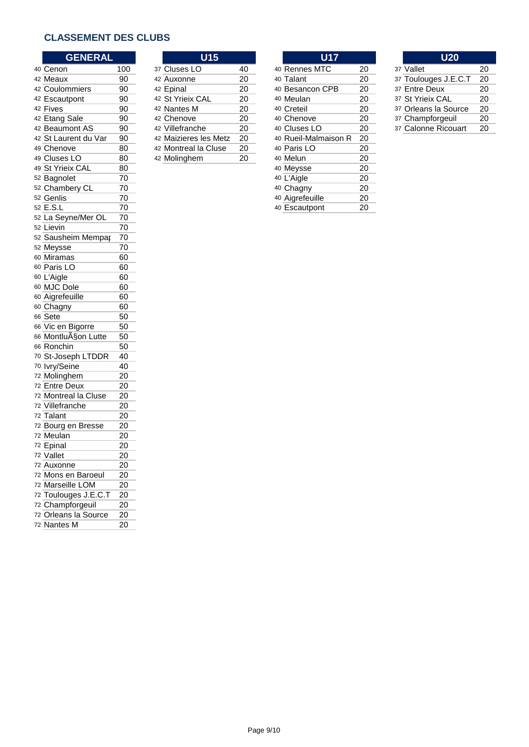## **CLASSEMENT DES CLUBS**

| <b>GENERAL</b>       |     | <b>U15</b>            |    | <b>U17</b>           |    | <b>U20</b>           |    |
|----------------------|-----|-----------------------|----|----------------------|----|----------------------|----|
| 40 Cenon             | 100 | 37 Cluses LO          | 40 | 40 Rennes MTC        | 20 | 37 Vallet            | 20 |
| 42 Meaux             | 90  | 42 Auxonne            | 20 | 40 Talant            | 20 | 37 Toulouges J.E.C.T | 20 |
| 42 Coulommiers       | 90  | 42 Epinal             | 20 | 40 Besancon CPB      | 20 | 37 Entre Deux        | 20 |
| 42 Escautpont        | 90  | 42 St Yrieix CAL      | 20 | 40 Meulan            | 20 | 37 St Yrieix CAL     | 20 |
| 42 Fives             | 90  | 42 Nantes M           | 20 | 40 Creteil           | 20 | 37 Orleans la Source | 20 |
| 42 Etang Sale        | 90  | 42 Chenove            | 20 | 40 Chenove           | 20 | 37 Champforgeuil     | 20 |
| 42 Beaumont AS       | 90  | 42 Villefranche       | 20 | 40 Cluses LO         | 20 | 37 Calonne Ricouart  | 20 |
| 42 St Laurent du Var | 90  | 42 Maizieres les Metz | 20 | 40 Rueil-Malmaison R | 20 |                      |    |
| 49 Chenove           | 80  | 42 Montreal la Cluse  | 20 | 40 Paris LO          | 20 |                      |    |
| 49 Cluses LO         | 80  | 42 Molinghem          | 20 | 40 Melun             | 20 |                      |    |
| 49 St Yrieix CAL     | 80  |                       |    | 40 Meysse            | 20 |                      |    |
| 52 Bagnolet          | 70  |                       |    | 40 L'Aigle           | 20 |                      |    |
| 52 Chambery CL       | 70  |                       |    | 40 Chagny            | 20 |                      |    |
| 52 Genlis            | 70  |                       |    | 40 Aigrefeuille      | 20 |                      |    |
| 52 E.S.L             | 70  |                       |    | 40 Escautpont        | 20 |                      |    |
| 52 La Seyne/Mer OL   | 70  |                       |    |                      |    |                      |    |
| 52 Lievin            | 70  |                       |    |                      |    |                      |    |
| 52 Sausheim Mempar   | 70  |                       |    |                      |    |                      |    |
| 52 Meysse            | 70  |                       |    |                      |    |                      |    |
| 60 Miramas           | 60  |                       |    |                      |    |                      |    |
| 60 Paris LO          | 60  |                       |    |                      |    |                      |    |
| 60 L'Aigle           | 60  |                       |    |                      |    |                      |    |
| 60 MJC Dole          | 60  |                       |    |                      |    |                      |    |
| 60 Aigrefeuille      | 60  |                       |    |                      |    |                      |    |
| 60 Chagny            | 60  |                       |    |                      |    |                      |    |
| 66 Sete              | 50  |                       |    |                      |    |                      |    |
| 66 Vic en Bigorre    | 50  |                       |    |                      |    |                      |    |
| 66 Montlu§on Lutte   | 50  |                       |    |                      |    |                      |    |
| 66 Ronchin           | 50  |                       |    |                      |    |                      |    |
| 70 St-Joseph LTDDR   | 40  |                       |    |                      |    |                      |    |
| 70 lvry/Seine        | 40  |                       |    |                      |    |                      |    |
| 72 Molinghem         | 20  |                       |    |                      |    |                      |    |
| 72 Entre Deux        | 20  |                       |    |                      |    |                      |    |
| 72 Montreal la Cluse | 20  |                       |    |                      |    |                      |    |
| 72 Villefranche      | 20  |                       |    |                      |    |                      |    |
| 72 Talant            | 20  |                       |    |                      |    |                      |    |
| 72 Bourg en Bresse   | 20  |                       |    |                      |    |                      |    |
| 72 Meulan            | 20  |                       |    |                      |    |                      |    |
| 72 Epinal            | 20  |                       |    |                      |    |                      |    |
| 72 Vallet            | 20  |                       |    |                      |    |                      |    |
| 72 Auxonne           | 20  |                       |    |                      |    |                      |    |
| 72 Mons en Baroeul   | 20  |                       |    |                      |    |                      |    |
| 72 Marseille LOM     | 20  |                       |    |                      |    |                      |    |
| 72 Toulouges J.E.C.T | 20  |                       |    |                      |    |                      |    |
| 72 Champforgeuil     | 20  |                       |    |                      |    |                      |    |
| 72 Orleans la Source | 20  |                       |    |                      |    |                      |    |
| 72 Nantes M          | 20  |                       |    |                      |    |                      |    |

| U15                  |    |  |
|----------------------|----|--|
| 7 Cluses LO          | 40 |  |
| 2 Auxonne            | 20 |  |
| 2 Epinal             | 20 |  |
| 2 St Yrieix CAL      | 20 |  |
| 2 Nantes M           | 20 |  |
| 2 Chenove            | 20 |  |
| 2 Villefranche       | 20 |  |
| 2 Maizieres les Metz | 20 |  |
| 2 Montreal la Cluse  | 20 |  |
| 2 Molinghem          | 20 |  |

| <b>GENERAL</b> |     | U15                   |    | <b>U17</b>           |    | <b>U20</b>        |
|----------------|-----|-----------------------|----|----------------------|----|-------------------|
|                | 100 | 37 Cluses LO          | 40 | 40 Rennes MTC        | 20 | 37 Vallet         |
|                | 90  | 42 Auxonne            | 20 | 40 Talant            | 20 | 37 Toulouges J.E. |
| mmiers         | 90  | 42 Epinal             | 20 | 40 Besancon CPB      | 20 | 37 Entre Deux     |
| tpont          | 90  | 42 St Yrieix CAL      | 20 | 40 Meulan            | 20 | 37 St Yrieix CAL  |
|                | 90  | 42 Nantes M           | 20 | 40 Creteil           | 20 | 37 Orleans la Sou |
| Sale           | 90  | 42 Chenove            | 20 | 40 Chenove           | 20 | 37 Champforgeuil  |
| nont AS        | 90  | 42 Villefranche       | 20 | 40 Cluses LO         | 20 | 37 Calonne Ricou  |
| ırent du Var   | 90  | 42 Maizieres les Metz | 20 | 40 Rueil-Malmaison R | 20 |                   |
| жe             | 80  | 42 Montreal la Cluse  | 20 | 40 Paris LO          | 20 |                   |
| s LO           | 80  | 42 Molinghem          | 20 | 40 Melun             | 20 |                   |
| eix CAL        | 80  |                       |    | 40 Meysse            | 20 |                   |
| اet            | 70  |                       |    | 40 L'Aigle           | 20 |                   |
| berv CL        | 70  |                       |    | 40 Chagny            | 20 |                   |
|                | 70  |                       |    | 40 Aigrefeuille      | 20 |                   |
|                | 70  |                       |    | 40 Escautpont        | 20 |                   |

| <b>U20</b>           |    |
|----------------------|----|
| 37 Vallet            | 20 |
| 37 Toulouges J.E.C.T | 20 |
| 37 Entre Deux        | 20 |
| 37 St Yrieix CAL     | 20 |
| 37 Orleans la Source | 20 |
| 37 Champforgeuil     | 20 |
| 37 Calonne Ricouart  | 20 |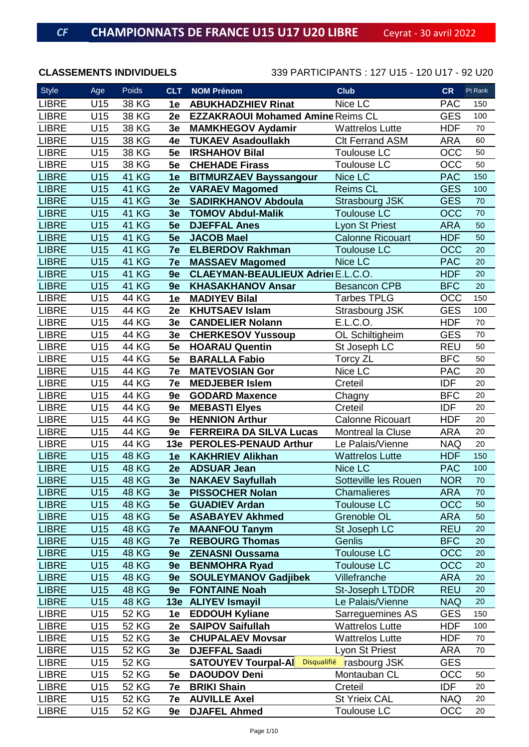| Style        | Age               | Poids        | <b>CLT</b>     | <b>NOM Prénom</b>                         | <b>Club</b>              | <b>CR</b>  | Pt Rank |
|--------------|-------------------|--------------|----------------|-------------------------------------------|--------------------------|------------|---------|
| <b>LIBRE</b> | U15               | 38 KG        | 1e             | <b>ABUKHADZHIEV Rinat</b>                 | Nice LC                  | <b>PAC</b> | 150     |
| <b>LIBRE</b> | U15               | 38 KG        | 2e             | <b>EZZAKRAOUI Mohamed Amine Reims CL</b>  |                          | <b>GES</b> | 100     |
| <b>LIBRE</b> | U15               | 38 KG        | 3e             | <b>MAMKHEGOV Aydamir</b>                  | <b>Wattrelos Lutte</b>   | <b>HDF</b> | 70      |
| <b>LIBRE</b> | U15               | 38 KG        | 4e             | <b>TUKAEV Asadoullakh</b>                 | <b>CIt Ferrand ASM</b>   | <b>ARA</b> | 60      |
| <b>LIBRE</b> | U15               | 38 KG        | 5e             | <b>IRSHAHOV Bilal</b>                     | <b>Toulouse LC</b>       | <b>OCC</b> | 50      |
| <b>LIBRE</b> | U15               | 38 KG        | 5e             | <b>CHEHADE Firass</b>                     | <b>Toulouse LC</b>       | OCC        | 50      |
| <b>LIBRE</b> | U15               | <b>41 KG</b> | 1e             | <b>BITMURZAEV Bayssangour</b>             | Nice LC                  | <b>PAC</b> | 150     |
| <b>LIBRE</b> | U15               | <b>41 KG</b> | 2e             | <b>VARAEV Magomed</b>                     | <b>Reims CL</b>          | <b>GES</b> | 100     |
| <b>LIBRE</b> | U15               | <b>41 KG</b> | 3 <sub>e</sub> | <b>SADIRKHANOV Abdoula</b>                | Strasbourg JSK           | <b>GES</b> | 70      |
| <b>LIBRE</b> | U15               | <b>41 KG</b> | 3e             | <b>TOMOV Abdul-Malik</b>                  | <b>Toulouse LC</b>       | <b>OCC</b> | 70      |
| <b>LIBRE</b> | U15               | <b>41 KG</b> | 5e             | <b>DJEFFAL Anes</b>                       | Lyon St Priest           | <b>ARA</b> | 50      |
| <b>LIBRE</b> | $\overline{U}$ 15 | <b>41 KG</b> | 5e             | <b>JACOB Mael</b>                         | <b>Calonne Ricouart</b>  | <b>HDF</b> | 50      |
| <b>LIBRE</b> | U15               | <b>41 KG</b> | 7e             | <b>ELBERDOV Rakhman</b>                   | <b>Toulouse LC</b>       | <b>OCC</b> | 20      |
| <b>LIBRE</b> | U15               | <b>41 KG</b> | 7e             | <b>MASSAEV Magomed</b>                    | Nice LC                  | <b>PAC</b> | 20      |
| <b>LIBRE</b> | U15               | <b>41 KG</b> | 9e             | <b>CLAEYMAN-BEAULIEUX Adriel E.L.C.O.</b> |                          | <b>HDF</b> | 20      |
| <b>LIBRE</b> | U15               | <b>41 KG</b> | 9e             | <b>KHASAKHANOV Ansar</b>                  | <b>Besancon CPB</b>      | <b>BFC</b> | 20      |
| <b>LIBRE</b> | U15               | <b>44 KG</b> | 1e             | <b>MADIYEV Bilal</b>                      | <b>Tarbes TPLG</b>       | OCC        | 150     |
| <b>LIBRE</b> | U15               | <b>44 KG</b> | 2e             | <b>KHUTSAEV Islam</b>                     | Strasbourg JSK           | <b>GES</b> | 100     |
| <b>LIBRE</b> | U15               | <b>44 KG</b> | 3e             | <b>CANDELIER Nolann</b>                   | E.L.C.O.                 | <b>HDF</b> | 70      |
| <b>LIBRE</b> | U15               | <b>44 KG</b> | 3e             | <b>CHERKESOV Yussoup</b>                  | OL Schiltigheim          | <b>GES</b> | 70      |
| <b>LIBRE</b> | U15               | <b>44 KG</b> | 5e             | <b>HOARAU Quentin</b>                     | St Joseph LC             | <b>REU</b> | 50      |
| <b>LIBRE</b> | U15               | <b>44 KG</b> | 5e             | <b>BARALLA Fabio</b>                      | <b>Torcy ZL</b>          | <b>BFC</b> | 50      |
| <b>LIBRE</b> | U15               | <b>44 KG</b> | 7e             | <b>MATEVOSIAN Gor</b>                     | Nice LC                  | <b>PAC</b> | 20      |
| <b>LIBRE</b> | U15               | 44 KG        | 7e             | <b>MEDJEBER Islem</b>                     | Creteil                  | <b>IDF</b> | 20      |
| <b>LIBRE</b> | U15               | 44 KG        | 9e             | <b>GODARD Maxence</b>                     | Chagny                   | <b>BFC</b> | 20      |
| <b>LIBRE</b> | U15               | <b>44 KG</b> | 9e             | <b>MEBASTI Elyes</b>                      | Creteil                  | <b>IDF</b> | 20      |
| <b>LIBRE</b> | U15               | <b>44 KG</b> | 9e             | <b>HENNION Arthur</b>                     | <b>Calonne Ricouart</b>  | <b>HDF</b> | 20      |
| <b>LIBRE</b> | U15               | <b>44 KG</b> | 9e             | <b>FERREIRA DA SILVA Lucas</b>            | <b>Montreal la Cluse</b> | <b>ARA</b> | 20      |
| <b>LIBRE</b> | U15               | <b>44 KG</b> | 13e            | <b>PEROLES-PENAUD Arthur</b>              | Le Palais/Vienne         | <b>NAQ</b> | 20      |
| <b>LIBRE</b> | <b>U15</b>        | <b>48 KG</b> | 1e             | <b>KAKHRIEV Alikhan</b>                   | <b>Wattrelos Lutte</b>   | <b>HDF</b> | 150     |
| <b>LIBRE</b> | U15               | <b>48 KG</b> | 2e             | <b>ADSUAR Jean</b>                        | Nice LC                  | <b>PAC</b> | 100     |
| <b>LIBRE</b> | U15               | <b>48 KG</b> | 3e             | <b>NAKAEV Sayfullah</b>                   | Sotteville les Rouen     | <b>NOR</b> | 70      |
| <b>LIBRE</b> | U15               | <b>48 KG</b> | 3e             | <b>PISSOCHER Nolan</b>                    | Chamalieres              | <b>ARA</b> | 70      |
| <b>LIBRE</b> | U15               | <b>48 KG</b> | 5e             | <b>GUADIEV Ardan</b>                      | <b>Toulouse LC</b>       | <b>OCC</b> | 50      |
| <b>LIBRE</b> | U15               | <b>48 KG</b> | 5e             | <b>ASABAYEV Akhmed</b>                    | Grenoble OL              | <b>ARA</b> | 50      |
| <b>LIBRE</b> | U15               | <b>48 KG</b> | 7e             | <b>MAANFOU Tanym</b>                      | St Joseph LC             | <b>REU</b> | 20      |
| <b>LIBRE</b> | U15               | <b>48 KG</b> | 7e             | <b>REBOURG Thomas</b>                     | Genlis                   | <b>BFC</b> | 20      |
| <b>LIBRE</b> | U15               | <b>48 KG</b> | 9e             | <b>ZENASNI Oussama</b>                    | <b>Toulouse LC</b>       | <b>OCC</b> | 20      |
| <b>LIBRE</b> | U15               | <b>48 KG</b> | 9e             | <b>BENMOHRA Ryad</b>                      | <b>Toulouse LC</b>       | <b>OCC</b> | 20      |
| <b>LIBRE</b> | U15               | <b>48 KG</b> | 9e             | <b>SOULEYMANOV Gadjibek</b>               | Villefranche             | <b>ARA</b> | 20      |
| <b>LIBRE</b> | U15               | <b>48 KG</b> | 9e             | <b>FONTAINE Noah</b>                      | St-Joseph LTDDR          | <b>REU</b> | 20      |
| <b>LIBRE</b> | U15               | <b>48 KG</b> | 13e            | <b>ALIYEV Ismayil</b>                     | Le Palais/Vienne         | <b>NAQ</b> | 20      |
| <b>LIBRE</b> | U15               | <b>52 KG</b> | 1e             | <b>EDDOUH Kyliane</b>                     | Sarreguemines AS         | <b>GES</b> | 150     |
| <b>LIBRE</b> | U15               | <b>52 KG</b> | 2e             | <b>SAIPOV Saifullah</b>                   | <b>Wattrelos Lutte</b>   | <b>HDF</b> | 100     |
| <b>LIBRE</b> | U15               | <b>52 KG</b> | 3e             | <b>CHUPALAEV Movsar</b>                   | <b>Wattrelos Lutte</b>   | <b>HDF</b> | 70      |
| <b>LIBRE</b> | U15               | 52 KG        | 3e             | <b>DJEFFAL Saadi</b>                      | Lyon St Priest           | <b>ARA</b> | 70      |
| <b>LIBRE</b> | U15               | <b>52 KG</b> |                | <b>SATOUYEV Tourpal-Al</b>                | Disqualifié rasbourg JSK | <b>GES</b> |         |
| <b>LIBRE</b> | U15               | 52 KG        | 5e             | <b>DAOUDOV Deni</b>                       | Montauban CL             | OCC        | 50      |
| <b>LIBRE</b> | U15               | <b>52 KG</b> | 7e             | <b>BRIKI Shain</b>                        | Creteil                  | <b>IDF</b> | 20      |
| <b>LIBRE</b> | U15               | 52 KG        | 7e             | <b>AUVILLE Axel</b>                       | <b>St Yrieix CAL</b>     | <b>NAQ</b> | 20      |
| <b>LIBRE</b> | U15               | 52 KG        | 9e             | <b>DJAFEL Ahmed</b>                       | Toulouse LC              | OCC        | 20      |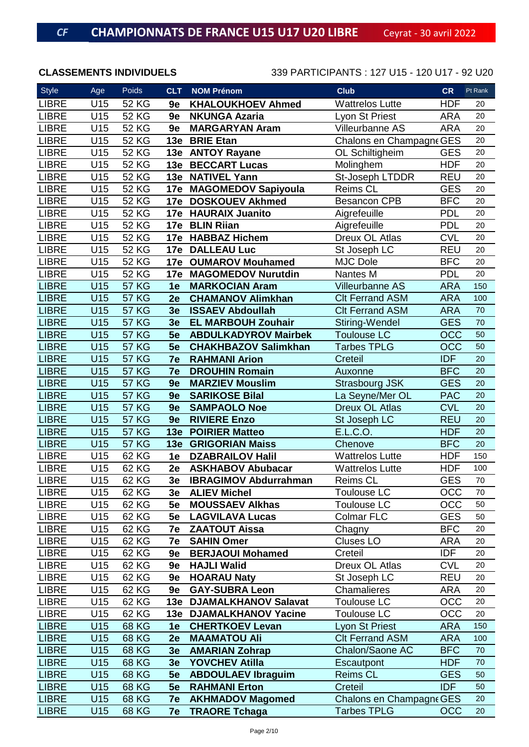| <b>Style</b> | Age               | Poids        | <b>CLT</b> | <b>NOM Prénom</b>            | <b>Club</b>              | <b>CR</b>  | Pt Rank |
|--------------|-------------------|--------------|------------|------------------------------|--------------------------|------------|---------|
| <b>LIBRE</b> | U15               | <b>52 KG</b> | 9e         | <b>KHALOUKHOEV Ahmed</b>     | <b>Wattrelos Lutte</b>   | <b>HDF</b> | 20      |
| <b>LIBRE</b> | U15               | <b>52 KG</b> | 9e         | <b>NKUNGA Azaria</b>         | Lyon St Priest           | <b>ARA</b> | 20      |
| <b>LIBRE</b> | U15               | <b>52 KG</b> | 9e         | <b>MARGARYAN Aram</b>        | Villeurbanne AS          | <b>ARA</b> | 20      |
| <b>LIBRE</b> | U15               | <b>52 KG</b> | 13e        | <b>BRIE Etan</b>             | Chalons en Champagne GES |            | 20      |
| <b>LIBRE</b> | U15               | <b>52 KG</b> |            | 13e ANTOY Rayane             | OL Schiltigheim          | <b>GES</b> | 20      |
| <b>LIBRE</b> | U15               | <b>52 KG</b> | 13e        | <b>BECCART Lucas</b>         | Molinghem                | <b>HDF</b> | 20      |
| <b>LIBRE</b> | U15               | <b>52 KG</b> | 13e        | <b>NATIVEL Yann</b>          | St-Joseph LTDDR          | <b>REU</b> | 20      |
| <b>LIBRE</b> | U15               | <b>52 KG</b> |            | 17e MAGOMEDOV Sapiyoula      | Reims CL                 | <b>GES</b> | 20      |
| <b>LIBRE</b> | U15               | <b>52 KG</b> |            | 17e DOSKOUEV Akhmed          | <b>Besancon CPB</b>      | <b>BFC</b> | 20      |
| <b>LIBRE</b> | U15               | <b>52 KG</b> | 17e        | <b>HAURAIX Juanito</b>       | Aigrefeuille             | <b>PDL</b> | 20      |
| <b>LIBRE</b> | U15               | <b>52 KG</b> | 17e        | <b>BLIN Riian</b>            | Aigrefeuille             | <b>PDL</b> | 20      |
| <b>LIBRE</b> | U15               | <b>52 KG</b> | 17e        | <b>HABBAZ Hichem</b>         | Dreux OL Atlas           | <b>CVL</b> | 20      |
| <b>LIBRE</b> | U15               | <b>52 KG</b> |            | 17e DALLEAU Luc              | St Joseph LC             | <b>REU</b> | 20      |
| <b>LIBRE</b> | U15               | <b>52 KG</b> | 17e        | <b>OUMAROV Mouhamed</b>      | <b>MJC Dole</b>          | <b>BFC</b> | 20      |
| <b>LIBRE</b> | U15               | <b>52 KG</b> | 17e        | <b>MAGOMEDOV Nurutdin</b>    | Nantes M                 | <b>PDL</b> | 20      |
| <b>LIBRE</b> | U15               | <b>57 KG</b> | 1e         | <b>MARKOCIAN Aram</b>        | <b>Villeurbanne AS</b>   | <b>ARA</b> | 150     |
| <b>LIBRE</b> | U15               | <b>57 KG</b> | 2e         | <b>CHAMANOV Alimkhan</b>     | <b>Clt Ferrand ASM</b>   | <b>ARA</b> | 100     |
| <b>LIBRE</b> | U15               | <b>57 KG</b> | 3e         | <b>ISSAEV Abdoullah</b>      | <b>CIt Ferrand ASM</b>   | <b>ARA</b> | 70      |
| <b>LIBRE</b> | U15               | <b>57 KG</b> | 3e         | <b>EL MARBOUH Zouhair</b>    | Stiring-Wendel           | <b>GES</b> | 70      |
| <b>LIBRE</b> | U15               | <b>57 KG</b> | 5e         | <b>ABDULKADYROV Mairbek</b>  | <b>Toulouse LC</b>       | <b>OCC</b> | 50      |
| <b>LIBRE</b> | U15               | <b>57 KG</b> | 5e         | <b>CHAKHBAZOV Salimkhan</b>  | <b>Tarbes TPLG</b>       | OCC        | 50      |
| <b>LIBRE</b> | U15               | <b>57 KG</b> | 7e         | <b>RAHMANI Arion</b>         | Creteil                  | <b>IDF</b> | 20      |
| <b>LIBRE</b> | U15               | <b>57 KG</b> | 7e         | <b>DROUHIN Romain</b>        | Auxonne                  | <b>BFC</b> | 20      |
| <b>LIBRE</b> | U15               | <b>57 KG</b> | 9e         | <b>MARZIEV Mouslim</b>       | <b>Strasbourg JSK</b>    | <b>GES</b> | 20      |
| <b>LIBRE</b> | U15               | <b>57 KG</b> | 9e         | <b>SARIKOSE Bilal</b>        | La Seyne/Mer OL          | <b>PAC</b> | 20      |
| <b>LIBRE</b> | U15               | <b>57 KG</b> | 9e         | <b>SAMPAOLO Noe</b>          | <b>Dreux OL Atlas</b>    | <b>CVL</b> | 20      |
| <b>LIBRE</b> | U15               | <b>57 KG</b> | 9e         | <b>RIVIERE Enzo</b>          | St Joseph LC             | <b>REU</b> | 20      |
| <b>LIBRE</b> | U15               | <b>57 KG</b> | 13e        | <b>POIRIER Matteo</b>        | E.L.C.O.                 | <b>HDF</b> | 20      |
| <b>LIBRE</b> | U15               | <b>57 KG</b> |            | 13e GRIGORIAN Maiss          | Chenove                  | <b>BFC</b> | 20      |
| <b>LIBRE</b> | U15               | 62 KG        | 1e         | <b>DZABRAILOV Halil</b>      | <b>Wattrelos Lutte</b>   | <b>HDF</b> | 150     |
| <b>LIBRE</b> | $\overline{U}$ 15 | 62 KG        | 2e         | <b>ASKHABOV Abubacar</b>     | <b>Wattrelos Lutte</b>   | <b>HDF</b> | 100     |
| <b>LIBRE</b> | U15               | 62 KG        | 3e         | <b>IBRAGIMOV Abdurrahman</b> | Reims CL                 | <b>GES</b> | 70      |
| <b>LIBRE</b> | U15               | 62 KG        |            | 3e ALIEV Michel              | <b>Toulouse LC</b>       | <b>OCC</b> | 70      |
| <b>LIBRE</b> | U15               | 62 KG        | 5e         | <b>MOUSSAEV Alkhas</b>       | <b>Toulouse LC</b>       | OCC        | 50      |
| <b>LIBRE</b> | U15               | 62 KG        | 5e         | <b>LAGVILAVA Lucas</b>       | Colmar FLC               | <b>GES</b> | 50      |
| <b>LIBRE</b> | U15               | 62 KG        | 7e         | <b>ZAATOUT Aissa</b>         | Chagny                   | <b>BFC</b> | 20      |
| <b>LIBRE</b> | U15               | 62 KG        | 7e         | <b>SAHIN Omer</b>            | <b>Cluses LO</b>         | <b>ARA</b> | 20      |
| <b>LIBRE</b> | U15               | 62 KG        | 9e         | <b>BERJAOUI Mohamed</b>      | Creteil                  | <b>IDF</b> | 20      |
| <b>LIBRE</b> | U15               | 62 KG        | 9e         | <b>HAJLI Walid</b>           | Dreux OL Atlas           | <b>CVL</b> | 20      |
| <b>LIBRE</b> | U15               | 62 KG        | 9e         | <b>HOARAU Naty</b>           | St Joseph LC             | <b>REU</b> | 20      |
| <b>LIBRE</b> | U15               | 62 KG        | 9e         | <b>GAY-SUBRA Leon</b>        | Chamalieres              | <b>ARA</b> | 20      |
| <b>LIBRE</b> | U15               | 62 KG        | 13e        | <b>DJAMALKHANOV Salavat</b>  | <b>Toulouse LC</b>       | OCC        | 20      |
| <b>LIBRE</b> | U15               | 62 KG        |            | 13e DJAMALKHANOV Yacine      | Toulouse LC              | OCC        | 20      |
| <b>LIBRE</b> | U15               | <b>68 KG</b> | 1e         | <b>CHERTKOEV Levan</b>       | Lyon St Priest           | <b>ARA</b> | 150     |
| <b>LIBRE</b> | U15               | <b>68 KG</b> | 2e         | <b>MAAMATOU Ali</b>          | <b>CIt Ferrand ASM</b>   | <b>ARA</b> | 100     |
| <b>LIBRE</b> | U15               | <b>68 KG</b> | 3e         | <b>AMARIAN Zohrap</b>        | Chalon/Saone AC          | <b>BFC</b> | 70      |
| <b>LIBRE</b> | U15               | <b>68 KG</b> | 3e         | <b>YOVCHEV Atilla</b>        | Escautpont               | <b>HDF</b> | 70      |
| <b>LIBRE</b> | U15               | <b>68 KG</b> | 5e         | <b>ABDOULAEV Ibraguim</b>    | <b>Reims CL</b>          | <b>GES</b> | 50      |
| <b>LIBRE</b> | U15               | <b>68 KG</b> | 5e         | <b>RAHMANI Erton</b>         | Creteil                  | <b>IDF</b> | 50      |
| <b>LIBRE</b> | U15               | 68 KG        | 7e         | <b>AKHMADOV Magomed</b>      | Chalons en Champagne GES |            | 20      |
| <b>LIBRE</b> | U15               | 68 KG        | 7e         | <b>TRAORE Tchaga</b>         | <b>Tarbes TPLG</b>       | <b>OCC</b> | 20      |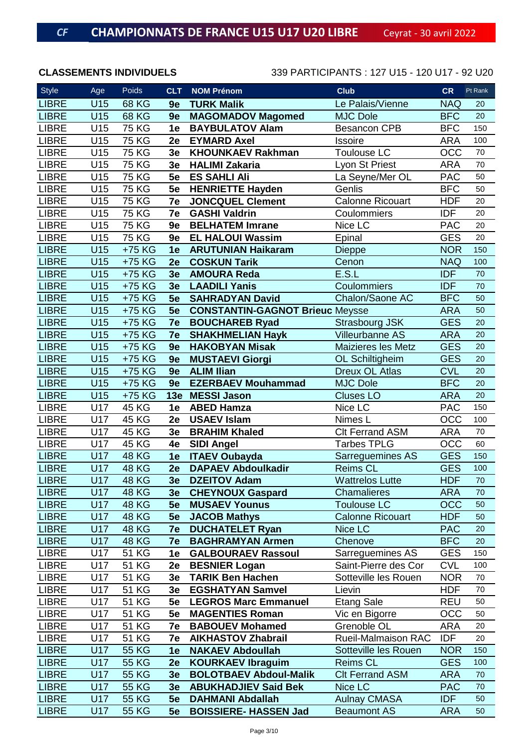| Style        | Age        | Poids        | <b>CLT</b>     | <b>NOM Prénom</b>                      | <b>Club</b>                | <b>CR</b>  | Pt Rank |
|--------------|------------|--------------|----------------|----------------------------------------|----------------------------|------------|---------|
| <b>LIBRE</b> | U15        | <b>68 KG</b> | 9e             | <b>TURK Malik</b>                      | Le Palais/Vienne           | <b>NAQ</b> | 20      |
| <b>LIBRE</b> | U15        | <b>68 KG</b> | 9e             | <b>MAGOMADOV Magomed</b>               | <b>MJC Dole</b>            | <b>BFC</b> | 20      |
| <b>LIBRE</b> | U15        | <b>75 KG</b> | 1e             | <b>BAYBULATOV Alam</b>                 | <b>Besancon CPB</b>        | <b>BFC</b> | 150     |
| <b>LIBRE</b> | U15        | <b>75 KG</b> | 2e             | <b>EYMARD Axel</b>                     | Issoire                    | <b>ARA</b> | 100     |
| <b>LIBRE</b> | U15        | <b>75 KG</b> | 3e             | <b>KHOUNKAEV Rakhman</b>               | <b>Toulouse LC</b>         | OCC        | 70      |
| <b>LIBRE</b> | U15        | <b>75 KG</b> | 3e             | <b>HALIMI Zakaria</b>                  | Lyon St Priest             | <b>ARA</b> | 70      |
| <b>LIBRE</b> | U15        | <b>75 KG</b> | 5e             | <b>ES SAHLI Ali</b>                    | La Seyne/Mer OL            | <b>PAC</b> | 50      |
| <b>LIBRE</b> | U15        | <b>75 KG</b> | 5e             | <b>HENRIETTE Hayden</b>                | Genlis                     | <b>BFC</b> | 50      |
| <b>LIBRE</b> | U15        | <b>75 KG</b> | 7e             | <b>JONCQUEL Clement</b>                | <b>Calonne Ricouart</b>    | <b>HDF</b> | 20      |
| <b>LIBRE</b> | U15        | <b>75 KG</b> | 7e             | <b>GASHI Valdrin</b>                   | Coulommiers                | <b>IDF</b> | 20      |
| <b>LIBRE</b> | U15        | <b>75 KG</b> | 9e             | <b>BELHATEM Imrane</b>                 | Nice LC                    | <b>PAC</b> | 20      |
| <b>LIBRE</b> | U15        | <b>75 KG</b> | 9e             | <b>EL HALOUI Wassim</b>                | Epinal                     | <b>GES</b> | 20      |
| <b>LIBRE</b> | U15        | +75 KG       | 1e             | <b>ARUTUNIAN Haikaram</b>              | <b>Dieppe</b>              | <b>NOR</b> | 150     |
| <b>LIBRE</b> | U15        | +75 KG       | 2e             | <b>COSKUN Tarik</b>                    | Cenon                      | <b>NAQ</b> | 100     |
| <b>LIBRE</b> | U15        | +75 KG       | 3e             | <b>AMOURA Reda</b>                     | E.S.L                      | <b>IDF</b> | 70      |
| <b>LIBRE</b> | U15        | +75 KG       | 3e             | <b>LAADILI Yanis</b>                   | Coulommiers                | <b>IDF</b> | 70      |
| <b>LIBRE</b> | U15        | +75 KG       | 5e             | <b>SAHRADYAN David</b>                 | Chalon/Saone AC            | <b>BFC</b> | 50      |
| <b>LIBRE</b> | U15        | +75 KG       | 5e             | <b>CONSTANTIN-GAGNOT Brieuc Meysse</b> |                            | <b>ARA</b> | 50      |
| <b>LIBRE</b> | U15        | +75 KG       | 7e             | <b>BOUCHAREB Ryad</b>                  | <b>Strasbourg JSK</b>      | <b>GES</b> | 20      |
| <b>LIBRE</b> | U15        | +75 KG       | 7e             | <b>SHAKHMELIAN Hayk</b>                | <b>Villeurbanne AS</b>     | <b>ARA</b> | 20      |
| <b>LIBRE</b> | U15        | +75 KG       | 9e             | <b>HAKOBYAN Misak</b>                  | Maizieres les Metz         | <b>GES</b> | 20      |
| <b>LIBRE</b> | U15        | +75 KG       | 9e             | <b>MUSTAEVI Giorgi</b>                 | OL Schiltigheim            | <b>GES</b> | 20      |
| <b>LIBRE</b> | U15        | +75 KG       | 9e             | <b>ALIM Ilian</b>                      | <b>Dreux OL Atlas</b>      | <b>CVL</b> | 20      |
| <b>LIBRE</b> | U15        | +75 KG       | 9e             | <b>EZERBAEV Mouhammad</b>              | <b>MJC Dole</b>            | <b>BFC</b> | 20      |
| <b>LIBRE</b> | U15        | +75 KG       | <b>13e</b>     | <b>MESSI Jason</b>                     | <b>Cluses LO</b>           | <b>ARA</b> | 20      |
| <b>LIBRE</b> | U17        | 45 KG        | 1e             | <b>ABED Hamza</b>                      | Nice LC                    | <b>PAC</b> | 150     |
| <b>LIBRE</b> | U17        | 45 KG        | 2e             | <b>USAEV Islam</b>                     | Nimes L                    | OCC        | 100     |
| <b>LIBRE</b> | U17        | 45 KG        | 3e             | <b>BRAHIM Khaled</b>                   | <b>CIt Ferrand ASM</b>     | <b>ARA</b> | 70      |
| <b>LIBRE</b> | U17        | 45 KG        | 4e             | <b>SIDI Angel</b>                      | Tarbes TPLG                | OCC        | 60      |
| <b>LIBRE</b> | <b>U17</b> | <b>48 KG</b> | 1e             | <b>ITAEV Oubayda</b>                   | Sarreguemines AS           | <b>GES</b> | 150     |
| <b>LIBRE</b> | <b>U17</b> | <b>48 KG</b> | 2e             | <b>DAPAEV Abdoulkadir</b>              | <b>Reims CL</b>            | <b>GES</b> | 100     |
| <b>LIBRE</b> | U17        | <b>48 KG</b> | 3e             | <b>DZEITOV Adam</b>                    | <b>Wattrelos Lutte</b>     | <b>HDF</b> | 70      |
| <b>LIBRE</b> | U17        | <b>48 KG</b> | 3e             | <b>CHEYNOUX Gaspard</b>                | <b>Chamalieres</b>         | <b>ARA</b> | 70      |
| <b>LIBRE</b> | U17        | <b>48 KG</b> | 5e             | <b>MUSAEV Younus</b>                   | <b>Toulouse LC</b>         | <b>OCC</b> | 50      |
| <b>LIBRE</b> | U17        | <b>48 KG</b> | 5e             | <b>JACOB Mathys</b>                    | <b>Calonne Ricouart</b>    | <b>HDF</b> | 50      |
| <b>LIBRE</b> | U17        | <b>48 KG</b> | 7e             | <b>DUCHATELET Ryan</b>                 | Nice LC                    | <b>PAC</b> | 20      |
| <b>LIBRE</b> | U17        | <b>48 KG</b> | 7e             | <b>BAGHRAMYAN Armen</b>                | Chenove                    | <b>BFC</b> | 20      |
| <b>LIBRE</b> | U17        | 51 KG        | 1e             | <b>GALBOURAEV Rassoul</b>              | Sarreguemines AS           | <b>GES</b> | 150     |
| <b>LIBRE</b> | U17        | 51 KG        | 2e             | <b>BESNIER Logan</b>                   | Saint-Pierre des Cor       | <b>CVL</b> | 100     |
| <b>LIBRE</b> | U17        | <b>51 KG</b> | 3e             | <b>TARIK Ben Hachen</b>                | Sotteville les Rouen       | <b>NOR</b> | 70      |
| <b>LIBRE</b> | U17        | <b>51 KG</b> | 3e             | <b>EGSHATYAN Samvel</b>                | Lievin                     | <b>HDF</b> | 70      |
| <b>LIBRE</b> | U17        | 51 KG        | 5e             | <b>LEGROS Marc Emmanuel</b>            | <b>Etang Sale</b>          | <b>REU</b> | 50      |
| <b>LIBRE</b> | U17        | <b>51 KG</b> | 5e             | <b>MAGENTIES Roman</b>                 | Vic en Bigorre             | OCC        | 50      |
| <b>LIBRE</b> | U17        | <b>51 KG</b> | 7e             | <b>BABOUEV Mohamed</b>                 | Grenoble OL                | <b>ARA</b> | 20      |
| <b>LIBRE</b> | U17        | 51 KG        | 7e             | <b>AIKHASTOV Zhabrail</b>              | <b>Rueil-Malmaison RAC</b> | <b>IDF</b> | 20      |
| <b>LIBRE</b> | U17        | 55 KG        | 1e             | <b>NAKAEV Abdoullah</b>                | Sotteville les Rouen       | <b>NOR</b> | 150     |
| <b>LIBRE</b> | U17        | <b>55 KG</b> | 2e             | <b>KOURKAEV Ibraguim</b>               | <b>Reims CL</b>            | <b>GES</b> | 100     |
| <b>LIBRE</b> | U17        | <b>55 KG</b> | 3e             | <b>BOLOTBAEV Abdoul-Malik</b>          | <b>CIt Ferrand ASM</b>     | <b>ARA</b> | 70      |
| <b>LIBRE</b> | U17        | 55 KG        | 3 <sub>e</sub> | <b>ABUKHADJIEV Said Bek</b>            | Nice LC                    | <b>PAC</b> | 70      |
| <b>LIBRE</b> | U17        | <b>55 KG</b> | 5e             | <b>DAHMANI Abdallah</b>                | <b>Aulnay CMASA</b>        | <b>IDF</b> | 50      |
| <b>LIBRE</b> | U17        | <b>55 KG</b> | 5e             | <b>BOISSIERE- HASSEN Jad</b>           | <b>Beaumont AS</b>         | <b>ARA</b> | 50      |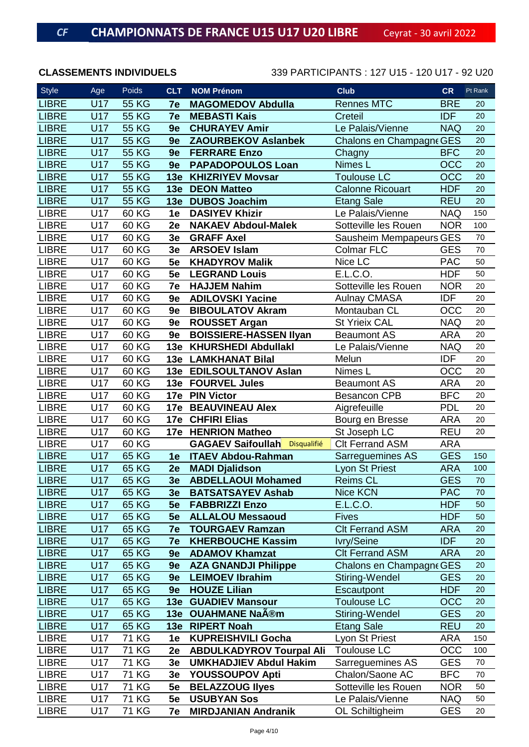| <b>Style</b> | Age        | Poids        | <b>CLT</b> | <b>NOM Prénom</b>                    | <b>Club</b>              | <b>CR</b>  | Pt Rank |
|--------------|------------|--------------|------------|--------------------------------------|--------------------------|------------|---------|
| <b>LIBRE</b> | <b>U17</b> | <b>55 KG</b> | 7e         | <b>MAGOMEDOV Abdulla</b>             | <b>Rennes MTC</b>        | <b>BRE</b> | 20      |
| <b>LIBRE</b> | <b>U17</b> | <b>55 KG</b> | 7e         | <b>MEBASTI Kais</b>                  | Creteil                  | <b>IDF</b> | 20      |
| <b>LIBRE</b> | <b>U17</b> | <b>55 KG</b> | 9e         | <b>CHURAYEV Amir</b>                 | Le Palais/Vienne         | <b>NAQ</b> | 20      |
| <b>LIBRE</b> | U17        | <b>55 KG</b> | 9e         | <b>ZAOURBEKOV Aslanbek</b>           | Chalons en Champagne GES |            | 20      |
| <b>LIBRE</b> | <b>U17</b> | <b>55 KG</b> | 9e         | <b>FERRARE Enzo</b>                  | Chagny                   | <b>BFC</b> | 20      |
| <b>LIBRE</b> | U17        | <b>55 KG</b> | 9e         | <b>PAPADOPOULOS Loan</b>             | Nimes L                  | <b>OCC</b> | 20      |
| <b>LIBRE</b> | U17        | <b>55 KG</b> | 13e        | <b>KHIZRIYEV Movsar</b>              | <b>Toulouse LC</b>       | <b>OCC</b> | 20      |
| <b>LIBRE</b> | <b>U17</b> | <b>55 KG</b> | 13e        | <b>DEON Matteo</b>                   | <b>Calonne Ricouart</b>  | <b>HDF</b> | 20      |
| <b>LIBRE</b> | <b>U17</b> | <b>55 KG</b> | 13e        | <b>DUBOS Joachim</b>                 | <b>Etang Sale</b>        | <b>REU</b> | 20      |
| <b>LIBRE</b> | U17        | 60 KG        | 1e         | <b>DASIYEV Khizir</b>                | Le Palais/Vienne         | <b>NAQ</b> | 150     |
| <b>LIBRE</b> | U17        | 60 KG        | 2e         | <b>NAKAEV Abdoul-Malek</b>           | Sotteville les Rouen     | <b>NOR</b> | 100     |
| <b>LIBRE</b> | U17        | 60 KG        | 3e         | <b>GRAFF Axel</b>                    | Sausheim Mempapeurs GES  |            | 70      |
| <b>LIBRE</b> | U17        | 60 KG        | 3e         | <b>ARSOEV Islam</b>                  | <b>Colmar FLC</b>        | <b>GES</b> | 70      |
| <b>LIBRE</b> | U17        | 60 KG        | 5e         | <b>KHADYROV Malik</b>                | Nice LC                  | <b>PAC</b> | 50      |
| <b>LIBRE</b> | U17        | 60 KG        | 5e         | <b>LEGRAND Louis</b>                 | E.L.C.O.                 | <b>HDF</b> | 50      |
| <b>LIBRE</b> | U17        | 60 KG        | 7e         | <b>HAJJEM Nahim</b>                  | Sotteville les Rouen     | <b>NOR</b> | 20      |
| <b>LIBRE</b> | U17        | 60 KG        | 9e         | <b>ADILOVSKI Yacine</b>              | <b>Aulnay CMASA</b>      | <b>IDF</b> | 20      |
| <b>LIBRE</b> | U17        | 60 KG        | 9e         | <b>BIBOULATOV Akram</b>              | Montauban CL             | OCC        | 20      |
| <b>LIBRE</b> | <b>U17</b> | 60 KG        | 9e         | <b>ROUSSET Argan</b>                 | <b>St Yrieix CAL</b>     | <b>NAQ</b> | 20      |
| <b>LIBRE</b> | U17        | 60 KG        | 9e         | <b>BOISSIERE-HASSEN Ilyan</b>        | <b>Beaumont AS</b>       | <b>ARA</b> | 20      |
| <b>LIBRE</b> | U17        | 60 KG        | 13e        | <b>KHURSHEDI Abdullakl</b>           | Le Palais/Vienne         | <b>NAQ</b> | 20      |
| <b>LIBRE</b> | U17        | 60 KG        | 13e        | <b>LAMKHANAT Bilal</b>               | Melun                    | <b>IDF</b> | 20      |
| <b>LIBRE</b> | U17        | 60 KG        |            | 13e EDILSOULTANOV Aslan              | Nimes L                  | OCC        | 20      |
| <b>LIBRE</b> | U17        | 60 KG        | 13e        | <b>FOURVEL Jules</b>                 | <b>Beaumont AS</b>       | <b>ARA</b> | 20      |
| <b>LIBRE</b> | U17        | 60 KG        |            | 17e PIN Victor                       | <b>Besancon CPB</b>      | <b>BFC</b> | 20      |
| <b>LIBRE</b> | U17        | 60 KG        | 17e        | <b>BEAUVINEAU Alex</b>               | Aigrefeuille             | <b>PDL</b> | 20      |
| <b>LIBRE</b> | U17        | 60 KG        |            | 17e CHFIRI Elias                     | Bourg en Bresse          | <b>ARA</b> | 20      |
| <b>LIBRE</b> | U17        | 60 KG        |            | 17e HENRION Matheo                   | St Joseph LC             | <b>REU</b> | 20      |
| <b>LIBRE</b> | U17        | 60 KG        |            | <b>GAGAEV Saifoullah Disqualifié</b> | <b>Clt Ferrand ASM</b>   | <b>ARA</b> |         |
| <b>LIBRE</b> | <b>U17</b> | 65 KG        | 1e         | <b>ITAEV Abdou-Rahman</b>            | Sarreguemines AS         | <b>GES</b> | 150     |
| <b>LIBRE</b> | <b>U17</b> | 65 KG        | 2e         | <b>MADI Djalidson</b>                | <b>Lyon St Priest</b>    | <b>ARA</b> | 100     |
| <b>LIBRE</b> | U17        | 65 KG        | 3e         | <b>ABDELLAOUI Mohamed</b>            | <b>Reims CL</b>          | <b>GES</b> | 70      |
| <b>LIBRE</b> | U17        | 65 KG        | 3e         | <b>BATSATSAYEV Ashab</b>             | Nice KCN                 | <b>PAC</b> | 70      |
| <b>LIBRE</b> | U17        | 65 KG        | 5e         | <b>FABBRIZZI Enzo</b>                | E.L.C.O.                 | <b>HDF</b> | 50      |
| <b>LIBRE</b> | U17        | <b>65 KG</b> | 5e         | <b>ALLALOU Messaoud</b>              | <b>Fives</b>             | <b>HDF</b> | 50      |
| <b>LIBRE</b> | U17        | 65 KG        | 7e         | <b>TOURGAEV Ramzan</b>               | <b>Clt Ferrand ASM</b>   | <b>ARA</b> | 20      |
| <b>LIBRE</b> | U17        | 65 KG        | 7e         | <b>KHERBOUCHE Kassim</b>             | Ivry/Seine               | <b>IDF</b> | 20      |
| <b>LIBRE</b> | U17        | 65 KG        | 9e         | <b>ADAMOV Khamzat</b>                | <b>CIt Ferrand ASM</b>   | <b>ARA</b> | 20      |
| <b>LIBRE</b> | U17        | 65 KG        | 9e         | <b>AZA GNANDJI Philippe</b>          | Chalons en Champagne GES |            | 20      |
| <b>LIBRE</b> | U17        | 65 KG        | 9e         | <b>LEIMOEV Ibrahim</b>               | Stiring-Wendel           | <b>GES</b> | 20      |
| <b>LIBRE</b> | U17        | <b>65 KG</b> | 9e         | <b>HOUZE Lilian</b>                  | Escautpont               | <b>HDF</b> | 20      |
| <b>LIBRE</b> | U17        | <b>65 KG</b> | 13e        | <b>GUADIEV Mansour</b>               | <b>Toulouse LC</b>       | OCC        | 20      |
| <b>LIBRE</b> | U17        | 65 KG        | 13e        | <b>OUAHMANE Naîm</b>                 | Stiring-Wendel           | <b>GES</b> | 20      |
| <b>LIBRE</b> | U17        | 65 KG        | 13e        | <b>RIPERT Noah</b>                   | <b>Etang Sale</b>        | <b>REU</b> | 20      |
| <b>LIBRE</b> | U17        | <b>71 KG</b> | 1e         | <b>KUPREISHVILI Gocha</b>            | Lyon St Priest           | <b>ARA</b> | 150     |
| <b>LIBRE</b> | U17        | <b>71 KG</b> | 2e         | <b>ABDULKADYROV Tourpal Ali</b>      | Toulouse LC              | OCC        | 100     |
| <b>LIBRE</b> | U17        | 71 KG        | 3e         | <b>UMKHADJIEV Abdul Hakim</b>        | Sarreguemines AS         | <b>GES</b> | 70      |
| <b>LIBRE</b> | U17        | 71 KG        | 3e         | <b>YOUSSOUPOV Apti</b>               | Chalon/Saone AC          | <b>BFC</b> | 70      |
| <b>LIBRE</b> | U17        | <b>71 KG</b> | 5e         | <b>BELAZZOUG llyes</b>               | Sotteville les Rouen     | <b>NOR</b> | 50      |
| <b>LIBRE</b> | U17        | 71 KG        | 5e         | <b>USUBYAN Sos</b>                   | Le Palais/Vienne         | <b>NAQ</b> | 50      |
| <b>LIBRE</b> | U17        | 71 KG        | 7e         | <b>MIRDJANIAN Andranik</b>           | OL Schiltigheim          | <b>GES</b> | 20      |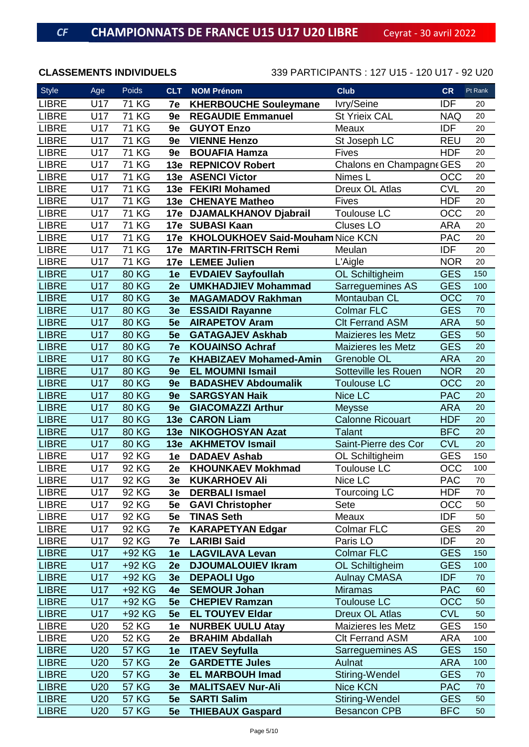| <b>Style</b> | Age        | Poids        | <b>CLT</b>     | <b>NOM Prénom</b>                    | <b>Club</b>               | <b>CR</b>  | Pt Rank |
|--------------|------------|--------------|----------------|--------------------------------------|---------------------------|------------|---------|
| <b>LIBRE</b> | U17        | <b>71 KG</b> | 7e             | <b>KHERBOUCHE Souleymane</b>         | Ivry/Seine                | <b>IDF</b> | 20      |
| <b>LIBRE</b> | U17        | <b>71 KG</b> | 9e             | <b>REGAUDIE Emmanuel</b>             | <b>St Yrieix CAL</b>      | <b>NAQ</b> | 20      |
| <b>LIBRE</b> | U17        | <b>71 KG</b> | 9e             | <b>GUYOT Enzo</b>                    | Meaux                     | <b>IDF</b> | 20      |
| <b>LIBRE</b> | U17        | <b>71 KG</b> | 9e             | <b>VIENNE Henzo</b>                  | St Joseph LC              | <b>REU</b> | 20      |
| <b>LIBRE</b> | U17        | <b>71 KG</b> | 9e             | <b>BOUAFIA Hamza</b>                 | <b>Fives</b>              | <b>HDF</b> | 20      |
| <b>LIBRE</b> | U17        | <b>71 KG</b> |                | 13e REPNICOV Robert                  | Chalons en Champagne GES  |            | 20      |
| <b>LIBRE</b> | U17        | <b>71 KG</b> |                | 13e ASENCI Victor                    | Nimes L                   | OCC        | 20      |
| <b>LIBRE</b> | U17        | <b>71 KG</b> |                | 13e FEKIRI Mohamed                   | Dreux OL Atlas            | <b>CVL</b> | 20      |
| <b>LIBRE</b> | U17        | <b>71 KG</b> |                | 13e CHENAYE Matheo                   | Fives                     | <b>HDF</b> | 20      |
| <b>LIBRE</b> | U17        | <b>71 KG</b> | 17e            | <b>DJAMALKHANOV Djabrail</b>         | Toulouse LC               | OCC        | 20      |
| <b>LIBRE</b> | U17        | <b>71 KG</b> |                | 17e SUBASI Kaan                      | <b>Cluses LO</b>          | <b>ARA</b> | 20      |
| <b>LIBRE</b> | U17        | <b>71 KG</b> |                | 17e KHOLOUKHOEV Said-Mouham Nice KCN |                           | <b>PAC</b> | 20      |
| <b>LIBRE</b> | U17        | <b>71 KG</b> |                | 17e MARTIN-FRITSCH Remi              | Meulan                    | <b>IDF</b> | 20      |
| <b>LIBRE</b> | U17        | <b>71 KG</b> | 17e            | <b>LEMEE Julien</b>                  | L'Aigle                   | <b>NOR</b> | 20      |
| <b>LIBRE</b> | <b>U17</b> | <b>80 KG</b> | 1e             | <b>EVDAIEV Sayfoullah</b>            | OL Schiltigheim           | <b>GES</b> | 150     |
| <b>LIBRE</b> | <b>U17</b> | <b>80 KG</b> | 2e             | <b>UMKHADJIEV Mohammad</b>           | Sarreguemines AS          | <b>GES</b> | 100     |
| <b>LIBRE</b> | U17        | <b>80 KG</b> | 3 <sub>e</sub> | <b>MAGAMADOV Rakhman</b>             | Montauban CL              | <b>OCC</b> | 70      |
| <b>LIBRE</b> | <b>U17</b> | <b>80 KG</b> | 3e             | <b>ESSAIDI Rayanne</b>               | <b>Colmar FLC</b>         | <b>GES</b> | 70      |
| <b>LIBRE</b> | <b>U17</b> | <b>80 KG</b> | 5e             | <b>AIRAPETOV Aram</b>                | <b>Clt Ferrand ASM</b>    | <b>ARA</b> | 50      |
| <b>LIBRE</b> | <b>U17</b> | <b>80 KG</b> | 5e             | <b>GATAGAJEV Askhab</b>              | <b>Maizieres les Metz</b> | <b>GES</b> | 50      |
| <b>LIBRE</b> | <b>U17</b> | <b>80 KG</b> | 7e             | <b>KOUAINSO Achraf</b>               | <b>Maizieres les Metz</b> | <b>GES</b> | 20      |
| <b>LIBRE</b> | <b>U17</b> | <b>80 KG</b> | 7e             | <b>KHABIZAEV Mohamed-Amin</b>        | <b>Grenoble OL</b>        | <b>ARA</b> | 20      |
| <b>LIBRE</b> | <b>U17</b> | <b>80 KG</b> | 9e             | <b>EL MOUMNI Ismail</b>              | Sotteville les Rouen      | <b>NOR</b> | 20      |
| <b>LIBRE</b> | <b>U17</b> | <b>80 KG</b> | 9e             | <b>BADASHEV Abdoumalik</b>           | <b>Toulouse LC</b>        | <b>OCC</b> | 20      |
| <b>LIBRE</b> | U17        | <b>80 KG</b> | 9e             | <b>SARGSYAN Haik</b>                 | Nice LC                   | <b>PAC</b> | 20      |
| <b>LIBRE</b> | <b>U17</b> | <b>80 KG</b> | 9e             | <b>GIACOMAZZI Arthur</b>             | Meysse                    | <b>ARA</b> | 20      |
| <b>LIBRE</b> | <b>U17</b> | <b>80 KG</b> |                | 13e CARON Liam                       | <b>Calonne Ricouart</b>   | <b>HDF</b> | 20      |
| <b>LIBRE</b> | <b>U17</b> | <b>80 KG</b> | 13e            | <b>NIKOGHOSYAN Azat</b>              | <b>Talant</b>             | <b>BFC</b> | 20      |
| <b>LIBRE</b> | U17        | <b>80 KG</b> |                | 13e AKHMETOV Ismail                  | Saint-Pierre des Cor      | <b>CVL</b> | 20      |
| <b>LIBRE</b> | U17        | 92 KG        | 1e             | <b>DADAEV Ashab</b>                  | OL Schiltigheim           | <b>GES</b> | 150     |
| <b>LIBRE</b> | U17        | 92 KG        | 2e             | <b>KHOUNKAEV Mokhmad</b>             | <b>Toulouse LC</b>        | OCC        | 100     |
| <b>LIBRE</b> | U17        | 92 KG        | 3e             | <b>KUKARHOEV Ali</b>                 | Nice LC                   | <b>PAC</b> | 70      |
| <b>LIBRE</b> | U17        | 92 KG        | 3e             | <b>DERBALI Ismael</b>                | Tourcoing LC              | <b>HDF</b> | 70      |
| <b>LIBRE</b> | U17        | 92 KG        | 5e             | <b>GAVI Christopher</b>              | Sete                      | OCC        | 50      |
| <b>LIBRE</b> | U17        | 92 KG        | 5e             | <b>TINAS Seth</b>                    | Meaux                     | <b>IDF</b> | 50      |
| <b>LIBRE</b> | U17        | 92 KG        | 7e             | <b>KARAPETYAN Edgar</b>              | <b>Colmar FLC</b>         | <b>GES</b> | 20      |
| <b>LIBRE</b> | U17        | 92 KG        | 7e             | <b>LARIBI Said</b>                   | Paris LO                  | <b>IDF</b> | 20      |
| <b>LIBRE</b> | U17        | +92 KG       | 1e             | <b>LAGVILAVA Levan</b>               | <b>Colmar FLC</b>         | <b>GES</b> | 150     |
| <b>LIBRE</b> | U17        | +92 KG       | 2e             | <b>DJOUMALOUIEV Ikram</b>            | OL Schiltigheim           | <b>GES</b> | 100     |
| <b>LIBRE</b> | U17        | +92 KG       | 3e             | <b>DEPAOLI Ugo</b>                   | <b>Aulnay CMASA</b>       | <b>IDF</b> | $70\,$  |
| <b>LIBRE</b> | U17        | +92 KG       | 4e             | <b>SEMOUR Johan</b>                  | <b>Miramas</b>            | <b>PAC</b> | 60      |
| <b>LIBRE</b> | U17        | +92 KG       | 5e             | <b>CHEPIEV Ramzan</b>                | <b>Toulouse LC</b>        | <b>OCC</b> | 50      |
| <b>LIBRE</b> | U17        | +92 KG       | 5e             | <b>EL TOUYEV Eldar</b>               | Dreux OL Atlas            | <b>CVL</b> | 50      |
| <b>LIBRE</b> | U20        | 52 KG        | 1e             | <b>NURBEK UULU Atay</b>              | Maizieres les Metz        | <b>GES</b> | 150     |
| <b>LIBRE</b> | U20        | <b>52 KG</b> | 2e             | <b>BRAHIM Abdallah</b>               | <b>Clt Ferrand ASM</b>    | <b>ARA</b> | 100     |
| <b>LIBRE</b> | U20        | <b>57 KG</b> | 1e             | <b>ITAEV Seyfulla</b>                | Sarreguemines AS          | <b>GES</b> | 150     |
| <b>LIBRE</b> | U20        | <b>57 KG</b> | 2e             | <b>GARDETTE Jules</b>                | Aulnat                    | <b>ARA</b> | 100     |
| <b>LIBRE</b> | U20        | <b>57 KG</b> | 3e             | <b>EL MARBOUH Imad</b>               | Stiring-Wendel            | <b>GES</b> | 70      |
| <b>LIBRE</b> | U20        | <b>57 KG</b> | 3e             | <b>MALITSAEV Nur-Ali</b>             | Nice KCN                  | <b>PAC</b> | 70      |
| <b>LIBRE</b> | U20        | <b>57 KG</b> | 5e             | <b>SARTI Salim</b>                   | Stiring-Wendel            | <b>GES</b> | 50      |
| <b>LIBRE</b> | U20        | <b>57 KG</b> | 5e             | <b>THIEBAUX Gaspard</b>              | <b>Besancon CPB</b>       | <b>BFC</b> | 50      |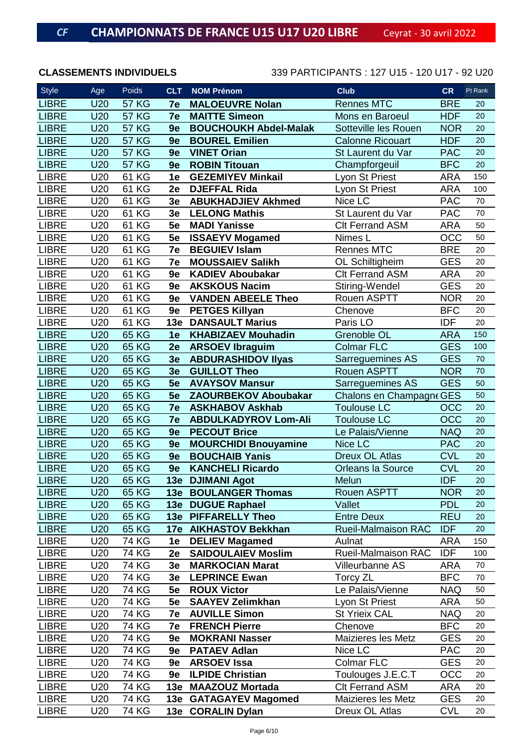| <b>Style</b> | Age        | Poids        | <b>CLT</b>     | <b>NOM Prénom</b>            | <b>Club</b>                | <b>CR</b>  | Pt Rank |
|--------------|------------|--------------|----------------|------------------------------|----------------------------|------------|---------|
| <b>LIBRE</b> | <b>U20</b> | <b>57 KG</b> | 7e             | <b>MALOEUVRE Nolan</b>       | <b>Rennes MTC</b>          | <b>BRE</b> | 20      |
| <b>LIBRE</b> | U20        | <b>57 KG</b> | 7e             | <b>MAITTE Simeon</b>         | Mons en Baroeul            | <b>HDF</b> | 20      |
| <b>LIBRE</b> | U20        | <b>57 KG</b> | 9e             | <b>BOUCHOUKH Abdel-Malak</b> | Sotteville les Rouen       | <b>NOR</b> | 20      |
| <b>LIBRE</b> | U20        | <b>57 KG</b> | 9e             | <b>BOUREL Emilien</b>        | <b>Calonne Ricouart</b>    | <b>HDF</b> | 20      |
| <b>LIBRE</b> | U20        | <b>57 KG</b> | 9e             | <b>VINET Orian</b>           | St Laurent du Var          | <b>PAC</b> | 20      |
| <b>LIBRE</b> | <b>U20</b> | <b>57 KG</b> | 9e             | <b>ROBIN Titouan</b>         | Champforgeuil              | <b>BFC</b> | 20      |
| <b>LIBRE</b> | U20        | 61 KG        | 1e             | <b>GEZEMIYEV Minkail</b>     | Lyon St Priest             | <b>ARA</b> | 150     |
| <b>LIBRE</b> | U20        | 61 KG        | 2e             | <b>DJEFFAL Rida</b>          | Lyon St Priest             | <b>ARA</b> | 100     |
| <b>LIBRE</b> | U20        | 61 KG        | 3e             | <b>ABUKHADJIEV Akhmed</b>    | Nice LC                    | <b>PAC</b> | 70      |
| <b>LIBRE</b> | U20        | 61 KG        | 3e             | <b>LELONG Mathis</b>         | St Laurent du Var          | <b>PAC</b> | 70      |
| <b>LIBRE</b> | U20        | 61 KG        | 5e             | <b>MADI Yanisse</b>          | <b>CIt Ferrand ASM</b>     | <b>ARA</b> | 50      |
| <b>LIBRE</b> | U20        | 61 KG        | 5e             | <b>ISSAEYV Mogamed</b>       | Nimes L                    | OCC        | 50      |
| <b>LIBRE</b> | U20        | 61 KG        | 7e             | <b>BEGUIEV Islam</b>         | <b>Rennes MTC</b>          | <b>BRE</b> | 20      |
| <b>LIBRE</b> | U20        | 61 KG        | 7e             | <b>MOUSSAIEV Salikh</b>      | OL Schiltigheim            | <b>GES</b> | 20      |
| <b>LIBRE</b> | U20        | 61 KG        | 9e             | <b>KADIEV Aboubakar</b>      | <b>Clt Ferrand ASM</b>     | <b>ARA</b> | 20      |
| <b>LIBRE</b> | U20        | 61 KG        | 9e             | <b>AKSKOUS Nacim</b>         | Stiring-Wendel             | <b>GES</b> | 20      |
| <b>LIBRE</b> | U20        | 61 KG        | 9e             | <b>VANDEN ABEELE Theo</b>    | Rouen ASPTT                | <b>NOR</b> | 20      |
| <b>LIBRE</b> | U20        | 61 KG        | 9e             | <b>PETGES Killyan</b>        | Chenove                    | <b>BFC</b> | 20      |
| <b>LIBRE</b> | U20        | 61 KG        | 13e            | <b>DANSAULT Marius</b>       | Paris LO                   | <b>IDF</b> | 20      |
| <b>LIBRE</b> | U20        | 65 KG        | 1e             | <b>KHABIZAEV Mouhadin</b>    | <b>Grenoble OL</b>         | <b>ARA</b> | 150     |
| <b>LIBRE</b> | U20        | <b>65 KG</b> | 2e             | <b>ARSOEV Ibraguim</b>       | <b>Colmar FLC</b>          | <b>GES</b> | 100     |
| <b>LIBRE</b> | <b>U20</b> | 65 KG        | 3 <sub>e</sub> | <b>ABDURASHIDOV IIyas</b>    | Sarreguemines AS           | <b>GES</b> | 70      |
| <b>LIBRE</b> | U20        | <b>65 KG</b> | 3e             | <b>GUILLOT Theo</b>          | <b>Rouen ASPTT</b>         | <b>NOR</b> | 70      |
| <b>LIBRE</b> | U20        | <b>65 KG</b> | 5e             | <b>AVAYSOV Mansur</b>        | Sarreguemines AS           | <b>GES</b> | 50      |
| <b>LIBRE</b> | U20        | <b>65 KG</b> | 5e             | <b>ZAOURBEKOV Aboubakar</b>  | Chalons en Champagne GES   |            | 50      |
| <b>LIBRE</b> | U20        | 65 KG        | 7e             | <b>ASKHABOV Askhab</b>       | <b>Toulouse LC</b>         | OCC        | 20      |
| <b>LIBRE</b> | U20        | 65 KG        | 7e             | <b>ABDULKADYROV Lom-Ali</b>  | <b>Toulouse LC</b>         | OCC        | 20      |
| <b>LIBRE</b> | U20        | <b>65 KG</b> | 9e             | <b>PECOUT Brice</b>          | Le Palais/Vienne           | <b>NAQ</b> | 20      |
| <b>LIBRE</b> | U20        | 65 KG        | 9e             | <b>MOURCHIDI Bnouyamine</b>  | Nice LC                    | <b>PAC</b> | 20      |
| <b>LIBRE</b> | U20        | <b>65 KG</b> | 9e             | <b>BOUCHAIB Yanis</b>        | <b>Dreux OL Atlas</b>      | <b>CVL</b> | 20      |
| <b>LIBRE</b> | U20        | 65 KG        | 9e             | <b>KANCHELI Ricardo</b>      | <b>Orleans la Source</b>   | <b>CVL</b> | 20      |
| <b>LIBRE</b> | U20        | 65 KG        |                | 13e DJIMANI Agot             | Melun                      | <b>IDF</b> | 20      |
| <b>LIBRE</b> | U20        | 65 KG        |                | <b>13e BOULANGER Thomas</b>  | Rouen ASPTT                | <b>NOR</b> | 20      |
| <b>LIBRE</b> | U20        | 65 KG        |                | 13e DUGUE Raphael            | Vallet                     | <b>PDL</b> | 20      |
| <b>LIBRE</b> | <b>U20</b> | 65 KG        |                | 13e PIFFARELLY Theo          | <b>Entre Deux</b>          | <b>REU</b> | 20      |
| <b>LIBRE</b> | U20        | 65 KG        |                | 17e AIKHASTOV Bekkhan        | <b>Rueil-Malmaison RAC</b> | <b>IDF</b> | 20      |
| <b>LIBRE</b> | U20        | <b>74 KG</b> | 1e             | <b>DELIEV Magamed</b>        | Aulnat                     | ARA        | 150     |
| <b>LIBRE</b> | U20        | <b>74 KG</b> | 2e             | <b>SAIDOULAIEV Moslim</b>    | <b>Rueil-Malmaison RAC</b> | <b>IDF</b> | 100     |
| <b>LIBRE</b> | U20        | 74 KG        | 3e             | <b>MARKOCIAN Marat</b>       | Villeurbanne AS            | <b>ARA</b> | 70      |
| <b>LIBRE</b> | U20        | 74 KG        | 3e             | <b>LEPRINCE Ewan</b>         | Torcy ZL                   | <b>BFC</b> | 70      |
| <b>LIBRE</b> | U20        | 74 KG        | 5e             | <b>ROUX Victor</b>           | Le Palais/Vienne           | <b>NAQ</b> | 50      |
| <b>LIBRE</b> | U20        | <b>74 KG</b> | 5e             | <b>SAAYEV Zelimkhan</b>      | Lyon St Priest             | <b>ARA</b> | 50      |
| <b>LIBRE</b> | U20        | 74 KG        | 7e             | <b>AUVILLE Simon</b>         | <b>St Yrieix CAL</b>       | <b>NAQ</b> | 20      |
| <b>LIBRE</b> | U20        | <b>74 KG</b> | 7e             | <b>FRENCH Pierre</b>         | Chenove                    | <b>BFC</b> | 20      |
| <b>LIBRE</b> | U20        | <b>74 KG</b> | 9e             | <b>MOKRANI Nasser</b>        | Maizieres les Metz         | <b>GES</b> | 20      |
| <b>LIBRE</b> | U20        | 74 KG        | <b>9e</b>      | <b>PATAEV Adlan</b>          | Nice LC                    | <b>PAC</b> | 20      |
| <b>LIBRE</b> | U20        | 74 KG        |                | 9e ARSOEV Issa               | <b>Colmar FLC</b>          | <b>GES</b> | 20      |
| <b>LIBRE</b> | U20        | 74 KG        | 9e             | <b>ILPIDE Christian</b>      | Toulouges J.E.C.T          | OCC        | 20      |
| <b>LIBRE</b> | U20        | <b>74 KG</b> |                | 13e MAAZOUZ Mortada          | <b>CIt Ferrand ASM</b>     | <b>ARA</b> | 20      |
| <b>LIBRE</b> | U20        | 74 KG        |                | 13e GATAGAYEV Magomed        | Maizieres les Metz         | <b>GES</b> | 20      |
| <b>LIBRE</b> | U20        | 74 KG        |                | 13e CORALIN Dylan            | Dreux OL Atlas             | <b>CVL</b> | 20      |